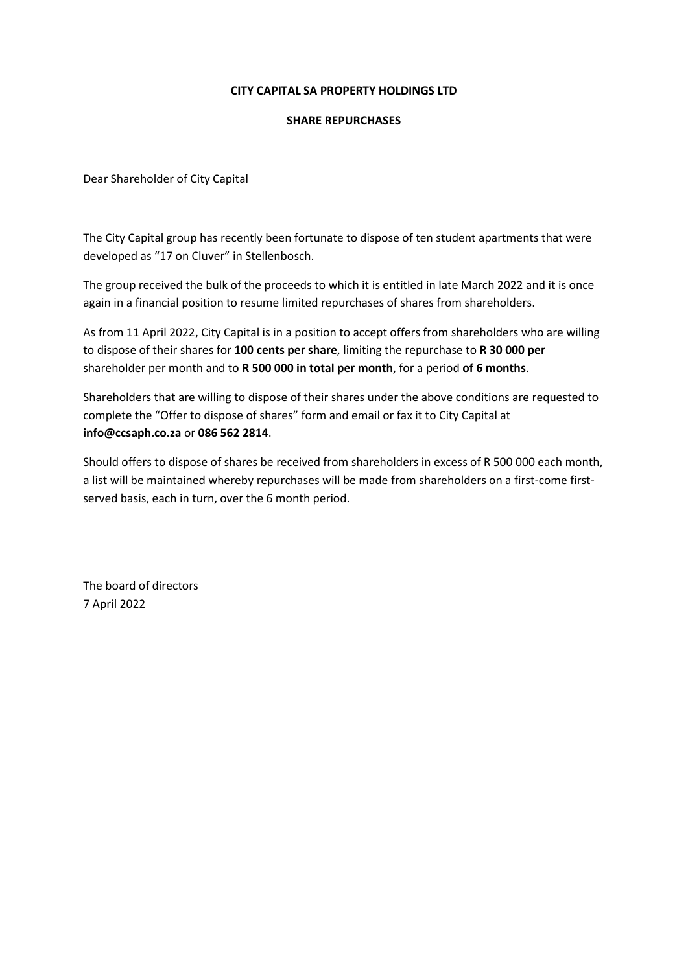## CITY CAPITAL SA PROPERTY HOLDINGS LTD

## SHARE REPURCHASES

Dear Shareholder of City Capital

The City Capital group has recently been fortunate to dispose of ten student apartments that were developed as "17 on Cluver" in Stellenbosch.

The group received the bulk of the proceeds to which it is entitled in late March 2022 and it is once again in a financial position to resume limited repurchases of shares from shareholders.

As from 11 April 2022, City Capital is in a position to accept offers from shareholders who are willing to dispose of their shares for 100 cents per share, limiting the repurchase to R 30 000 per shareholder per month and to R 500 000 in total per month, for a period of 6 months.

Shareholders that are willing to dispose of their shares under the above conditions are requested to complete the "Offer to dispose of shares" form and email or fax it to City Capital at info@ccsaph.co.za or 086 562 2814.

Should offers to dispose of shares be received from shareholders in excess of R 500 000 each month, a list will be maintained whereby repurchases will be made from shareholders on a first-come firstserved basis, each in turn, over the 6 month period.

The board of directors 7 April 2022